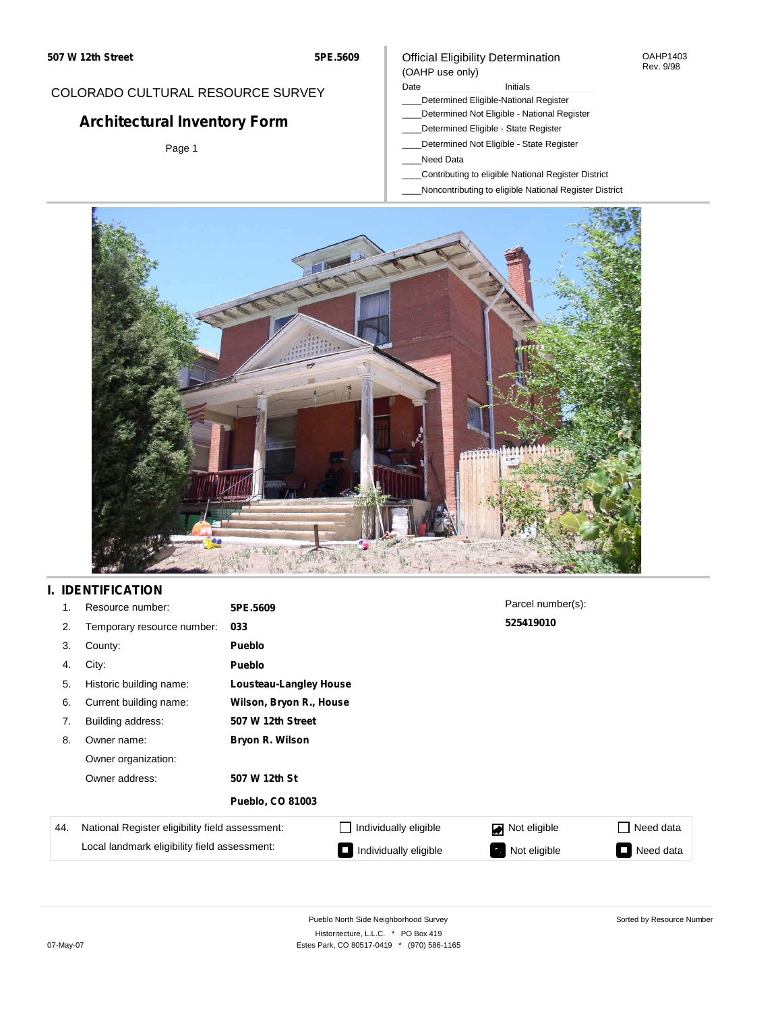#### OAHP1403 Rev. 9/98

## COLORADO CULTURAL RESOURCE SURVEY

# **Architectural Inventory Form**

Page 1

#### (OAHP use only) Date **Initials** Initials

Official Eligibility Determination

- \_\_\_\_Determined Eligible-National Register
- \_\_\_\_Determined Not Eligible National Register
- \_\_\_\_Determined Eligible State Register
- \_\_\_\_Determined Not Eligible State Register
- \_\_\_\_Need Data
- \_\_\_\_Contributing to eligible National Register District
- \_\_\_\_Noncontributing to eligible National Register District



## **I. IDENTIFICATION**

| 1.  | Resource number:                                | 5PE.5609                |                               | Parcel number(s): |           |  |  |  |
|-----|-------------------------------------------------|-------------------------|-------------------------------|-------------------|-----------|--|--|--|
| 2.  | Temporary resource number:                      | 033                     |                               | 525419010         |           |  |  |  |
| 3.  | County:                                         | <b>Pueblo</b>           |                               |                   |           |  |  |  |
| 4.  | City:                                           | <b>Pueblo</b>           |                               |                   |           |  |  |  |
| 5.  | Historic building name:                         |                         | <b>Lousteau-Langley House</b> |                   |           |  |  |  |
| 6.  | Current building name:                          | Wilson, Bryon R., House |                               |                   |           |  |  |  |
| 7.  | Building address:                               | 507 W 12th Street       |                               |                   |           |  |  |  |
| 8.  | Owner name:                                     | Bryon R. Wilson         |                               |                   |           |  |  |  |
|     | Owner organization:                             |                         |                               |                   |           |  |  |  |
|     | Owner address:                                  | 507 W 12th St           |                               |                   |           |  |  |  |
|     |                                                 | <b>Pueblo, CO 81003</b> |                               |                   |           |  |  |  |
| 44. | National Register eligibility field assessment: |                         | Individually eligible         | Not eligible<br>◪ | Need data |  |  |  |
|     | Local landmark eligibility field assessment:    |                         | Individually eligible         | Not eligible      | Need data |  |  |  |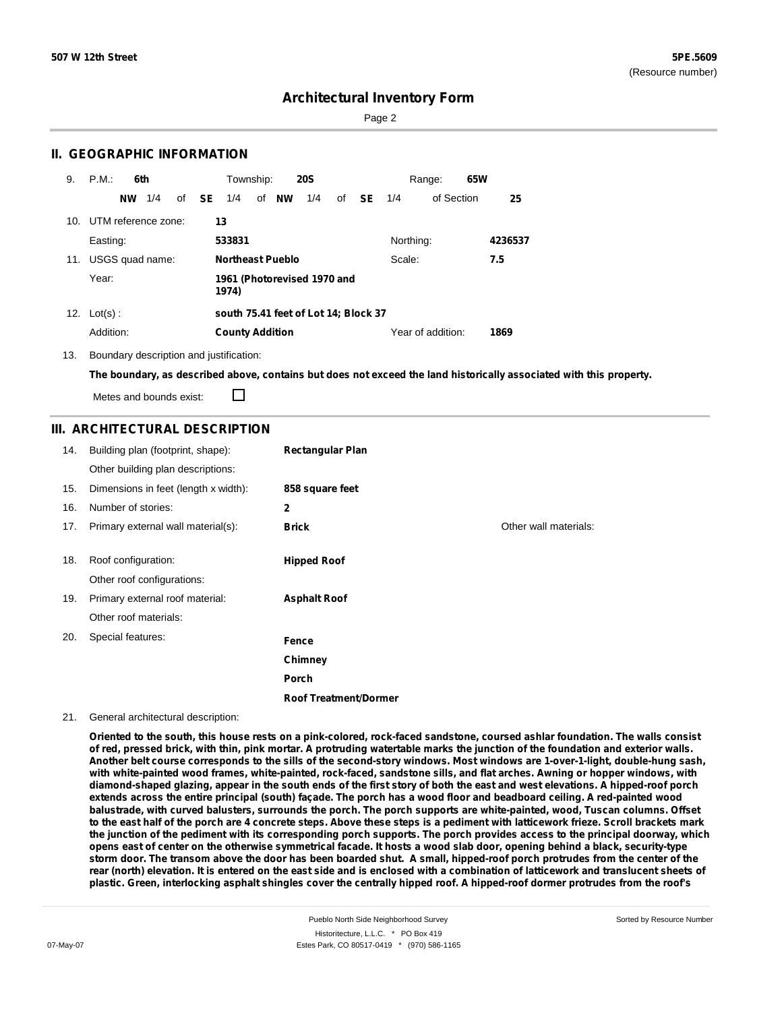Page 2

### **II. GEOGRAPHIC INFORMATION**

| 9.  | P.M.<br>6th            | Township:<br><b>20S</b>                                    | 65W<br>Range:             |
|-----|------------------------|------------------------------------------------------------|---------------------------|
|     | 1/4<br>of<br><b>NW</b> | <b>SE</b><br>of <b>NW</b><br>1/4<br>1/4<br><b>SE</b><br>of | of Section<br>25<br>1/4   |
| 10. | UTM reference zone:    | 13                                                         |                           |
|     | Easting:               | 533831                                                     | Northing:<br>4236537      |
| 11. | USGS quad name:        | <b>Northeast Pueblo</b>                                    | Scale:<br>7.5             |
|     | Year:                  | 1961 (Photorevised 1970 and<br>1974)                       |                           |
|     | 12. $Lot(s)$ :         | south 75.41 feet of Lot 14; Block 37                       |                           |
|     | Addition:              | <b>County Addition</b>                                     | Year of addition:<br>1869 |

13. Boundary description and justification:

The boundary, as described above, contains but does not exceed the land historically associated with this property.

Metes and bounds exist:

П

### **III. ARCHITECTURAL DESCRIPTION**

| 14. | Building plan (footprint, shape):    | <b>Rectangular Plan</b>      |                       |
|-----|--------------------------------------|------------------------------|-----------------------|
|     | Other building plan descriptions:    |                              |                       |
| 15. | Dimensions in feet (length x width): | 858 square feet              |                       |
| 16. | Number of stories:                   | 2                            |                       |
| 17. | Primary external wall material(s):   | <b>Brick</b>                 | Other wall materials: |
|     |                                      |                              |                       |
| 18. | Roof configuration:                  | <b>Hipped Roof</b>           |                       |
|     | Other roof configurations:           |                              |                       |
| 19. | Primary external roof material:      | <b>Asphalt Roof</b>          |                       |
|     | Other roof materials:                |                              |                       |
| 20. | Special features:                    | Fence                        |                       |
|     |                                      | Chimney                      |                       |
|     |                                      | Porch                        |                       |
|     |                                      | <b>Roof Treatment/Dormer</b> |                       |

#### 21. General architectural description:

Oriented to the south, this house rests on a pink-colored, rock-faced sandstone, coursed ashlar foundation. The walls consist of red, pressed brick, with thin, pink mortar. A protruding watertable marks the junction of the foundation and exterior walls. Another belt course corresponds to the sills of the second-story windows. Most windows are 1-over-1-light, double-hung sash, with white-painted wood frames, white-painted, rock-faced, sandstone sills, and flat arches. Awning or hopper windows, with diamond-shaped glazing, appear in the south ends of the first story of both the east and west elevations. A hipped-roof porch extends across the entire principal (south) façade. The porch has a wood floor and beadboard ceiling. A red-painted wood balustrade, with curved balusters, surrounds the porch. The porch supports are white-painted, wood, Tuscan columns. Offset to the east half of the porch are 4 concrete steps. Above these steps is a pediment with latticework frieze. Scroll brackets mark the junction of the pediment with its corresponding porch supports. The porch provides access to the principal doorway, which opens east of center on the otherwise symmetrical facade. It hosts a wood slab door, opening behind a black, security-type storm door. The transom above the door has been boarded shut. A small, hipped-roof porch protrudes from the center of the rear (north) elevation. It is entered on the east side and is enclosed with a combination of latticework and translucent sheets of plastic. Green, interlocking asphalt shingles cover the centrally hipped roof. A hipped-roof dormer protrudes from the roof's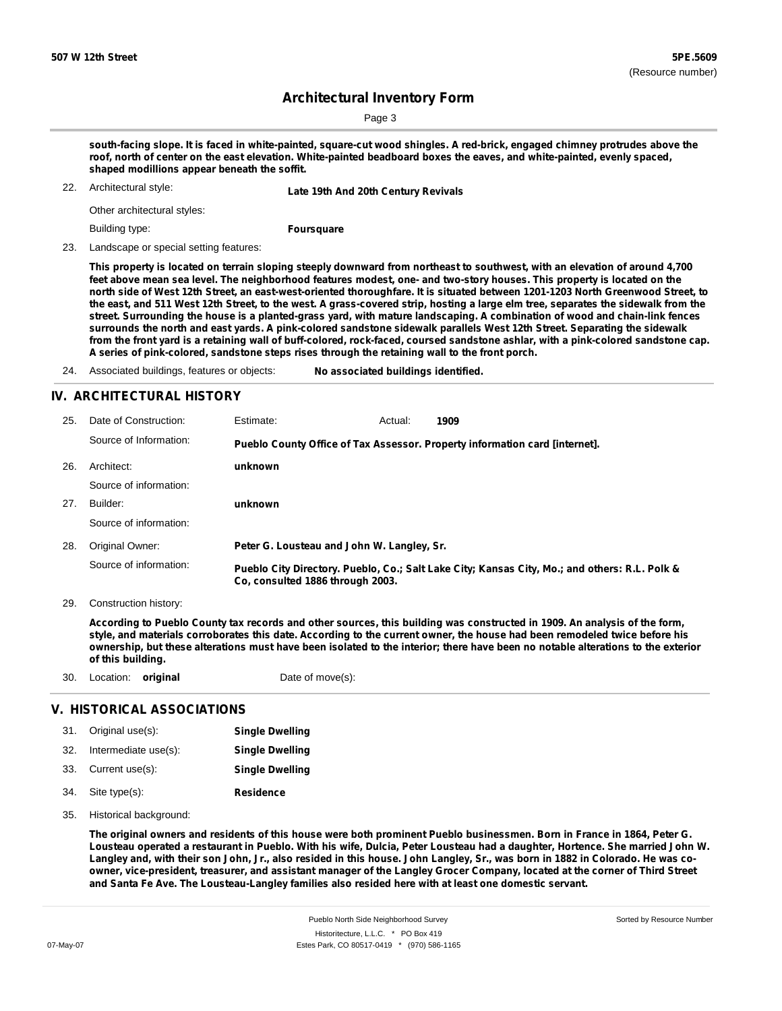Sorted by Resource Number

## **Architectural Inventory Form**

Page 3

south-facing slope. It is faced in white-painted, square-cut wood shingles. A red-brick, engaged chimney protrudes above the roof, north of center on the east elevation. White-painted beadboard boxes the eaves, and white-painted, evenly spaced, **shaped modillions appear beneath the soffit.**

22. Architectural style: **Late 19th And 20th Century Revivals**

Other architectural styles:

Building type:

**Foursquare**

23. Landscape or special setting features:

This property is located on terrain sloping steeply downward from northeast to southwest, with an elevation of around 4,700 feet above mean sea level. The neighborhood features modest, one- and two-story houses. This property is located on the north side of West 12th Street, an east-west-oriented thoroughfare. It is situated between 1201-1203 North Greenwood Street, to the east, and 511 West 12th Street, to the west. A grass-covered strip, hosting a large elm tree, separates the sidewalk from the street. Surrounding the house is a planted-grass yard, with mature landscaping. A combination of wood and chain-link fences surrounds the north and east yards. A pink-colored sandstone sidewalk parallels West 12th Street. Separating the sidewalk from the front yard is a retaining wall of buff-colored, rock-faced, coursed sandstone ashlar, with a pink-colored sandstone cap. **A series of pink-colored, sandstone steps rises through the retaining wall to the front porch.**

24. Associated buildings, features or objects: **No associated buildings identified.**

#### **IV. ARCHITECTURAL HISTORY**

| 25. | Date of Construction:  | Estimate:                                                                   | Actual: | 1909                                                                                          |  |  |
|-----|------------------------|-----------------------------------------------------------------------------|---------|-----------------------------------------------------------------------------------------------|--|--|
|     | Source of Information: | Pueblo County Office of Tax Assessor. Property information card [internet]. |         |                                                                                               |  |  |
| 26. | Architect:             | unknown                                                                     |         |                                                                                               |  |  |
|     | Source of information: |                                                                             |         |                                                                                               |  |  |
| 27. | Builder:               | unknown                                                                     |         |                                                                                               |  |  |
|     | Source of information: |                                                                             |         |                                                                                               |  |  |
| 28. | Original Owner:        | Peter G. Lousteau and John W. Langley, Sr.                                  |         |                                                                                               |  |  |
|     | Source of information: | Co. consulted 1886 through 2003.                                            |         | Pueblo City Directory. Pueblo, Co.; Salt Lake City; Kansas City, Mo.; and others: R.L. Polk & |  |  |

29. Construction history:

According to Pueblo County tax records and other sources, this building was constructed in 1909. An analysis of the form, style, and materials corroborates this date. According to the current owner, the house had been remodeled twice before his ownership, but these alterations must have been isolated to the interior; there have been no notable alterations to the exterior **of this building.**

30. Location: **original** Date of move(s):

### **V. HISTORICAL ASSOCIATIONS**

| 31. Original use(s):     | <b>Single Dwelling</b> |
|--------------------------|------------------------|
| 32. Intermediate use(s): | <b>Single Dwelling</b> |
| 33. Current use(s):      | <b>Single Dwelling</b> |
| 34. Site type(s):        | <b>Residence</b>       |

35. Historical background:

The original owners and residents of this house were both prominent Pueblo businessmen. Born in France in 1864, Peter G. Lousteau operated a restaurant in Pueblo. With his wife, Dulcia, Peter Lousteau had a daughter, Hortence. She married John W. Langley and, with their son John, Jr., also resided in this house. John Langley, Sr., was born in 1882 in Colorado. He was coowner, vice-president, treasurer, and assistant manager of the Langley Grocer Company, located at the corner of Third Street **and Santa Fe Ave. The Lousteau-Langley families also resided here with at least one domestic servant.**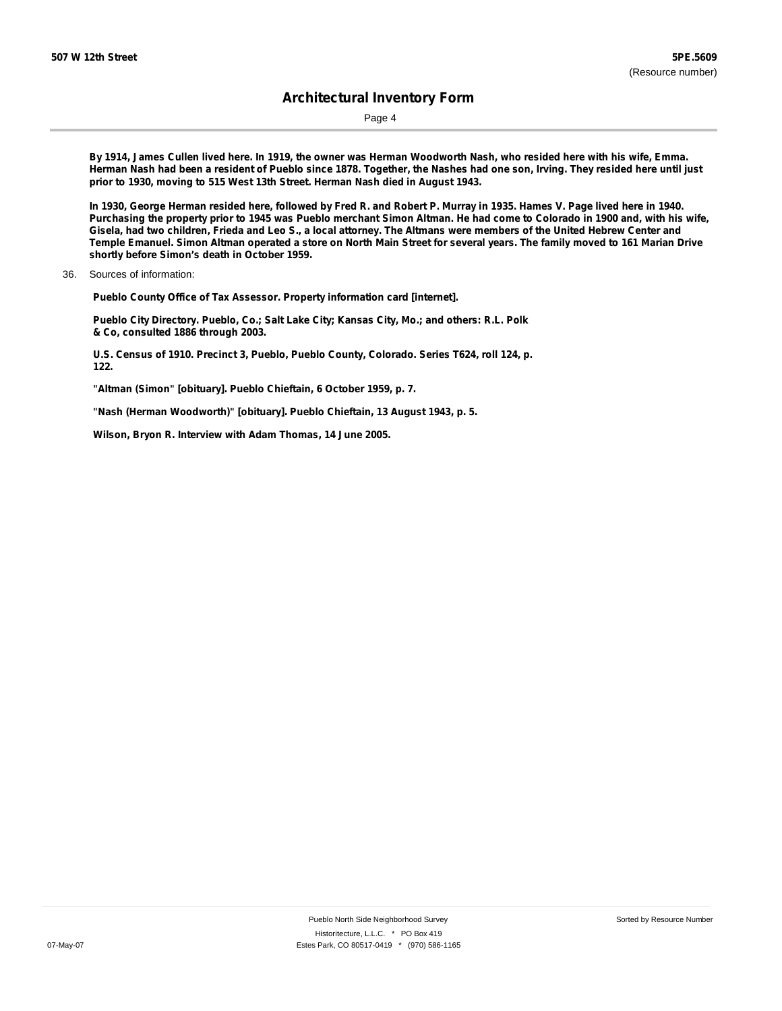Page 4

By 1914, James Cullen lived here. In 1919, the owner was Herman Woodworth Nash, who resided here with his wife, Emma. Herman Nash had been a resident of Pueblo since 1878. Together, the Nashes had one son, Irving. They resided here until just **prior to 1930, moving to 515 West 13th Street. Herman Nash died in August 1943.**

In 1930, George Herman resided here, followed by Fred R. and Robert P. Murray in 1935. Hames V. Page lived here in 1940. Purchasing the property prior to 1945 was Pueblo merchant Simon Altman. He had come to Colorado in 1900 and, with his wife, Gisela, had two children, Frieda and Leo S., a local attorney. The Altmans were members of the United Hebrew Center and Temple Emanuel. Simon Altman operated a store on North Main Street for several years. The family moved to 161 Marian Drive **shortly before Simon's death in October 1959.**

36. Sources of information:

**Pueblo County Office of Tax Assessor. Property information card [internet].**

**Pueblo City Directory. Pueblo, Co.; Salt Lake City; Kansas City, Mo.; and others: R.L. Polk & Co, consulted 1886 through 2003.**

**U.S. Census of 1910. Precinct 3, Pueblo, Pueblo County, Colorado. Series T624, roll 124, p. 122.**

**"Altman (Simon" [obituary]. Pueblo Chieftain, 6 October 1959, p. 7.**

**"Nash (Herman Woodworth)" [obituary]. Pueblo Chieftain, 13 August 1943, p. 5.**

**Wilson, Bryon R. Interview with Adam Thomas, 14 June 2005.**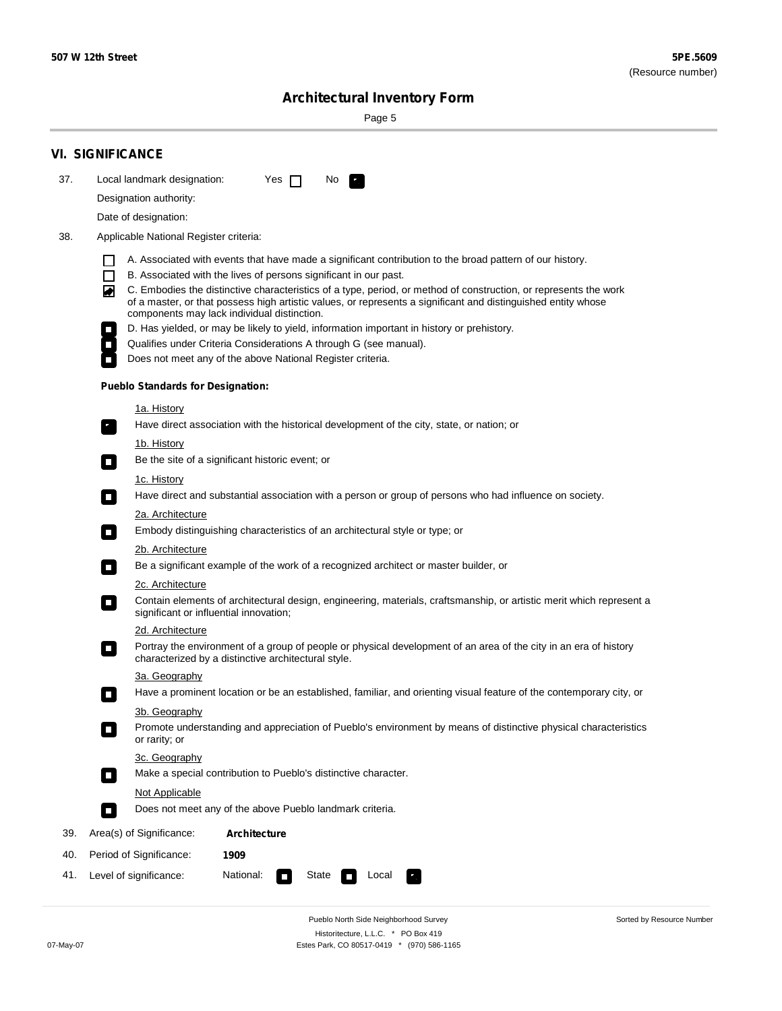۰

Sorted by Resource Number

# **Architectural Inventory Form**

Page 5

|     | <b>VI. SIGNIFICANCE</b>                                                                                                                                                                                                                                                               |  |  |  |  |  |  |
|-----|---------------------------------------------------------------------------------------------------------------------------------------------------------------------------------------------------------------------------------------------------------------------------------------|--|--|--|--|--|--|
| 37. | Local landmark designation:<br>Yes $\Box$<br>No.                                                                                                                                                                                                                                      |  |  |  |  |  |  |
|     | Designation authority:                                                                                                                                                                                                                                                                |  |  |  |  |  |  |
|     | Date of designation:                                                                                                                                                                                                                                                                  |  |  |  |  |  |  |
| 38. | Applicable National Register criteria:                                                                                                                                                                                                                                                |  |  |  |  |  |  |
|     | A. Associated with events that have made a significant contribution to the broad pattern of our history.<br>l.                                                                                                                                                                        |  |  |  |  |  |  |
|     | B. Associated with the lives of persons significant in our past.<br>$\Box$                                                                                                                                                                                                            |  |  |  |  |  |  |
|     | C. Embodies the distinctive characteristics of a type, period, or method of construction, or represents the work<br>◙<br>of a master, or that possess high artistic values, or represents a significant and distinguished entity whose<br>components may lack individual distinction. |  |  |  |  |  |  |
|     | D. Has yielded, or may be likely to yield, information important in history or prehistory.                                                                                                                                                                                            |  |  |  |  |  |  |
|     | Qualifies under Criteria Considerations A through G (see manual).                                                                                                                                                                                                                     |  |  |  |  |  |  |
|     | Does not meet any of the above National Register criteria.                                                                                                                                                                                                                            |  |  |  |  |  |  |
|     | <b>Pueblo Standards for Designation:</b>                                                                                                                                                                                                                                              |  |  |  |  |  |  |
|     | 1a. History                                                                                                                                                                                                                                                                           |  |  |  |  |  |  |
|     | Have direct association with the historical development of the city, state, or nation; or                                                                                                                                                                                             |  |  |  |  |  |  |
|     | <u>1b. History</u>                                                                                                                                                                                                                                                                    |  |  |  |  |  |  |
|     | Be the site of a significant historic event; or<br>$\mathcal{L}_{\mathcal{A}}$                                                                                                                                                                                                        |  |  |  |  |  |  |
|     | 1c. History<br>Have direct and substantial association with a person or group of persons who had influence on society.<br>$\blacksquare$                                                                                                                                              |  |  |  |  |  |  |
|     | 2a. Architecture                                                                                                                                                                                                                                                                      |  |  |  |  |  |  |
|     | Embody distinguishing characteristics of an architectural style or type; or<br>$\overline{\phantom{a}}$                                                                                                                                                                               |  |  |  |  |  |  |
|     | 2b. Architecture                                                                                                                                                                                                                                                                      |  |  |  |  |  |  |
|     | Be a significant example of the work of a recognized architect or master builder, or<br>$\sim$                                                                                                                                                                                        |  |  |  |  |  |  |
|     | 2c. Architecture                                                                                                                                                                                                                                                                      |  |  |  |  |  |  |
|     | Contain elements of architectural design, engineering, materials, craftsmanship, or artistic merit which represent a<br>О<br>significant or influential innovation;                                                                                                                   |  |  |  |  |  |  |
|     | 2d. Architecture                                                                                                                                                                                                                                                                      |  |  |  |  |  |  |
|     | Portray the environment of a group of people or physical development of an area of the city in an era of history<br>$\Box$<br>characterized by a distinctive architectural style.                                                                                                     |  |  |  |  |  |  |
|     | 3a. Geography                                                                                                                                                                                                                                                                         |  |  |  |  |  |  |
|     | Have a prominent location or be an established, familiar, and orienting visual feature of the contemporary city, or                                                                                                                                                                   |  |  |  |  |  |  |
|     | 3b. Geography                                                                                                                                                                                                                                                                         |  |  |  |  |  |  |
|     | Promote understanding and appreciation of Pueblo's environment by means of distinctive physical characteristics<br>or rarity; or                                                                                                                                                      |  |  |  |  |  |  |
|     | 3c. Geography                                                                                                                                                                                                                                                                         |  |  |  |  |  |  |
|     | Make a special contribution to Pueblo's distinctive character.<br>$\sim$                                                                                                                                                                                                              |  |  |  |  |  |  |
|     | Not Applicable                                                                                                                                                                                                                                                                        |  |  |  |  |  |  |
|     | Does not meet any of the above Pueblo landmark criteria.<br>$\overline{\phantom{a}}$                                                                                                                                                                                                  |  |  |  |  |  |  |
| 39. | Area(s) of Significance:<br><b>Architecture</b>                                                                                                                                                                                                                                       |  |  |  |  |  |  |
| 40. | Period of Significance:<br>1909                                                                                                                                                                                                                                                       |  |  |  |  |  |  |
| 41. | National:<br>Level of significance:<br>State<br>Local<br>П<br>м.                                                                                                                                                                                                                      |  |  |  |  |  |  |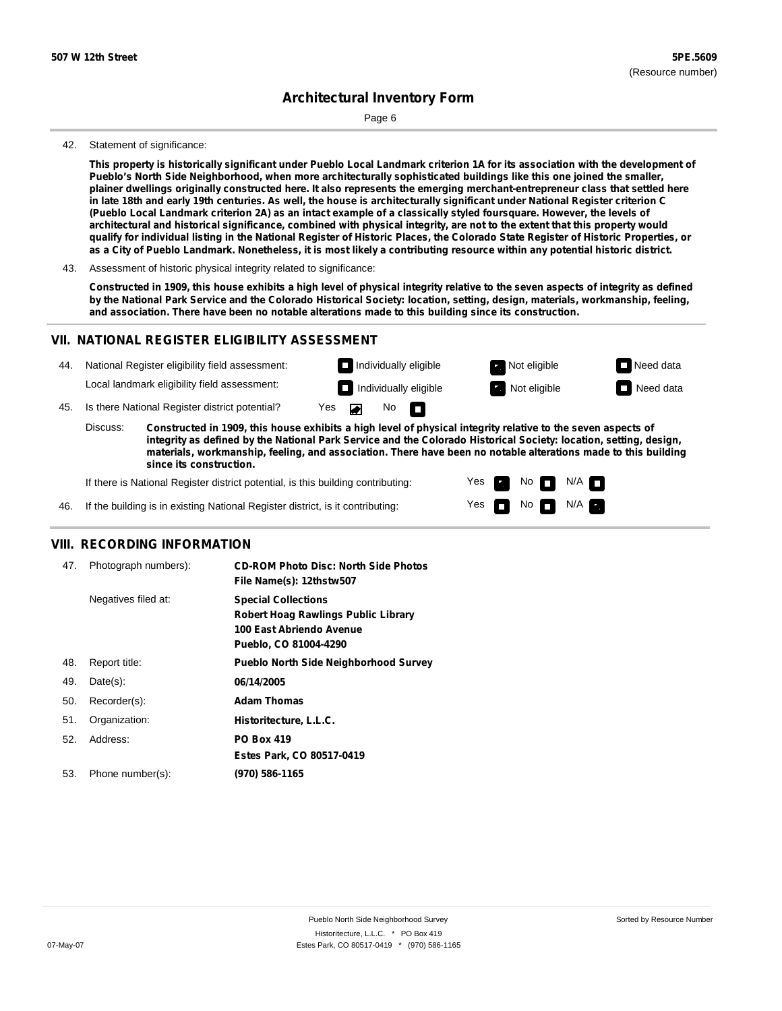Page 6

#### 42. Statement of significance:

This property is historically significant under Pueblo Local Landmark criterion 1A for its association with the development of **Pueblo's North Side Neighborhood, when more architecturally sophisticated buildings like this one joined the smaller,** plainer dwellings originally constructed here. It also represents the emerging merchant-entrepreneur class that settled here in late 18th and early 19th centuries. As well, the house is architecturally significant under National Register criterion C (Pueblo Local Landmark criterion 2A) as an intact example of a classically styled foursquare. However, the levels of architectural and historical significance, combined with physical integrity, are not to the extent that this property would qualify for individual listing in the National Register of Historic Places, the Colorado State Register of Historic Properties, or as a City of Pueblo Landmark. Nonetheless, it is most likely a contributing resource within any potential historic district.

Constructed in 1909, this house exhibits a high level of physical integrity relative to the seven aspects of integrity as defined by the National Park Service and the Colorado Historical Society: location, setting, design, materials, workmanship, feeling, **and association. There have been no notable alterations made to this building since its construction.**

### **VII. NATIONAL REGISTER ELIGIBILITY ASSESSMENT**

| 44. | National Register eligibility field assessment: |                                                                                                              | $\Box$ Individually eligible |         |  |                       | Not eligible        | $\Box$ Need data |
|-----|-------------------------------------------------|--------------------------------------------------------------------------------------------------------------|------------------------------|---------|--|-----------------------|---------------------|------------------|
|     |                                                 | Local landmark eligibility field assessment:                                                                 |                              |         |  | Individually eligible | <b>Not eligible</b> | $\Box$ Need data |
|     |                                                 | 45. Is there National Register district potential?                                                           |                              | Yes Dan |  | No $\blacksquare$     |                     |                  |
|     | Discuss:                                        | Constructed in 1909, this house exhibits a high level of physical integrity relative to the seven aspects of |                              |         |  |                       |                     |                  |

Constructed in 1909, this house exhibits a high level of physical integrity relative to the seven aspects of integrity as defined by the National Park Service and the Colorado Historical Society: location, setting, design, **materials, workmanship, feeling, and association. There have been no notable alterations made to this building since its construction.** Discuss:

> Yes Yes

No **DI**N/A  $\Box$  No  $\Box$  N/A  $\Box$ 

If there is National Register district potential, is this building contributing:

46. If the building is in existing National Register district, is it contributing:

#### **VIII. RECORDING INFORMATION**

| 47. | Photograph numbers): | <b>CD-ROM Photo Disc: North Side Photos</b><br>File Name(s): 12thstw507                                                       |
|-----|----------------------|-------------------------------------------------------------------------------------------------------------------------------|
|     | Negatives filed at:  | <b>Special Collections</b><br><b>Robert Hoag Rawlings Public Library</b><br>100 East Abriendo Avenue<br>Pueblo, CO 81004-4290 |
| 48. | Report title:        | <b>Pueblo North Side Neighborhood Survey</b>                                                                                  |
| 49. | $Date(s)$ :          | 06/14/2005                                                                                                                    |
| 50. | Recorder(s):         | <b>Adam Thomas</b>                                                                                                            |
| 51. | Organization:        | Historitecture, L.L.C.                                                                                                        |
| 52. | Address:             | <b>PO Box 419</b>                                                                                                             |
|     |                      | Estes Park, CO 80517-0419                                                                                                     |
| 53. | Phone number(s):     | (970) 586-1165                                                                                                                |
|     |                      |                                                                                                                               |

<sup>43.</sup> Assessment of historic physical integrity related to significance: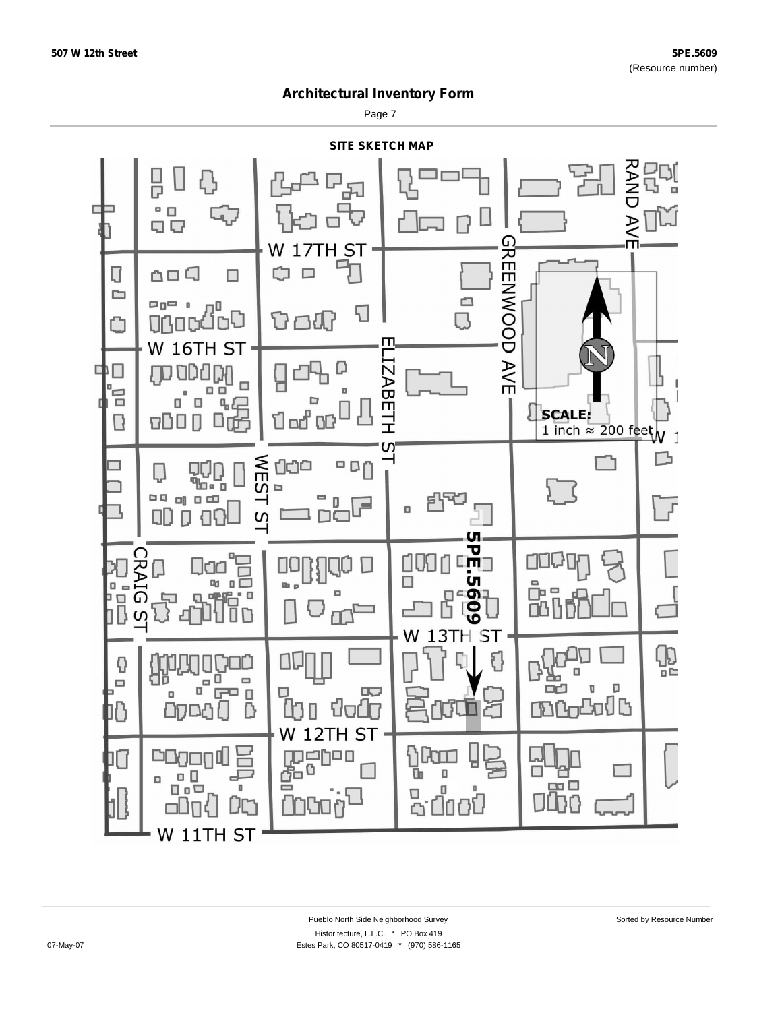Page 7